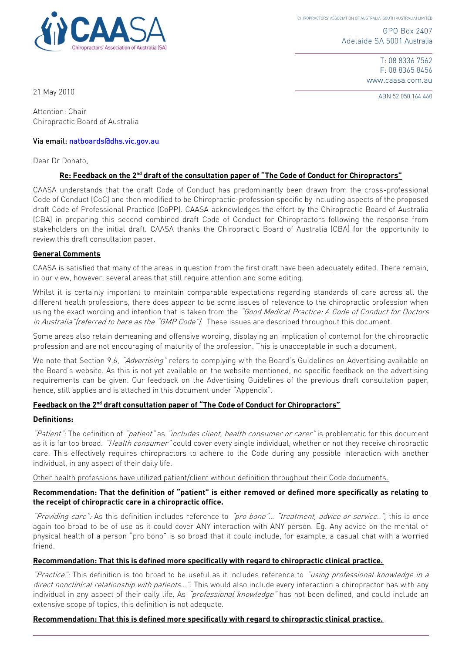

GPO Box 2407 Adelaide SA 5001 Australia

> T: 08 8336 7562 F: 08 8365 8456 www.caasa.com.au

ABN 52 050 164 460 21 May 2010

Attention: Chair Chiropractic Board of Australia

#### Via email: natboards@dhs.vic.gov.au

Dear Dr Donato,

### **Re: Feedback on the 2nd draft of the consultation paper of "The Code of Conduct for Chiropractors"**

CAASA understands that the draft Code of Conduct has predominantly been drawn from the cross-professional Code of Conduct (CoC) and then modified to be Chiropractic-profession specific by including aspects of the proposed draft Code of Professional Practice (CoPP). CAASA acknowledges the effort by the Chiropractic Board of Australia (CBA) in preparing this second combined draft Code of Conduct for Chiropractors following the response from stakeholders on the initial draft. CAASA thanks the Chiropractic Board of Australia (CBA) for the opportunity to review this draft consultation paper.

#### **General Comments**

CAASA is satisfied that many of the areas in question from the first draft have been adequately edited. There remain, in our view, however, several areas that still require attention and some editing.

Whilst it is certainly important to maintain comparable expectations regarding standards of care across all the different health professions, there does appear to be some issues of relevance to the chiropractic profession when using the exact wording and intention that is taken from the "Good Medical Practice: A Code of Conduct for Doctors in Australia"(referred to here as the "GMP Code"). These issues are described throughout this document.

Some areas also retain demeaning and offensive wording, displaying an implication of contempt for the chiropractic profession and are not encouraging of maturity of the profession. This is unacceptable in such a document.

We note that Section 9.6, "Advertising" refers to complying with the Board's Guidelines on Advertising available on the Board's website. As this is not yet available on the website mentioned, no specific feedback on the advertising requirements can be given. Our feedback on the Advertising Guidelines of the previous draft consultation paper, hence, still applies and is attached in this document under "Appendix".

### **Feedback on the 2nd draft consultation paper of "The Code of Conduct for Chiropractors"**

#### **Definitions:**

"Patient": The definition of "patient" as "includes client, health consumer or carer" is problematic for this document as it is far too broad. "Health consumer" could cover every single individual, whether or not they receive chiropractic care. This effectively requires chiropractors to adhere to the Code during any possible interaction with another individual, in any aspect of their daily life.

Other health professions have utilized patient/client without definition throughout their Code documents.

#### **Recommendation: That the definition of "patient" is either removed or defined more specifically as relating to the receipt of chiropractic care in a chiropractic office.**

"Providing care": As this definition includes reference to "pro bono"... "treatment, advice or service..", this is once again too broad to be of use as it could cover ANY interaction with ANY person. Eg. Any advice on the mental or physical health of a person "pro bono" is so broad that it could include, for example, a casual chat with a worried friend.

#### **Recommendation: That this is defined more specifically with regard to chiropractic clinical practice.**

"Practice": This definition is too broad to be useful as it includes reference to "using professional knowledge in a direct nonclinical relationship with patients...". This would also include every interaction a chiropractor has with any individual in any aspect of their daily life. As "professional knowledge" has not been defined, and could include an extensive scope of topics, this definition is not adequate.

#### **Recommendation: That this is defined more specifically with regard to chiropractic clinical practice.**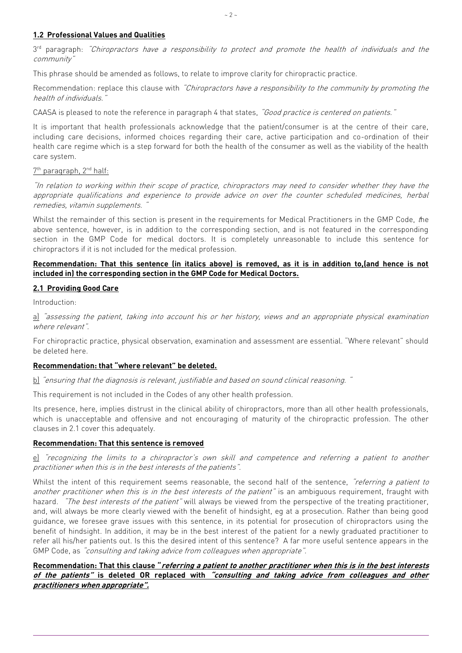## **1.2 Professional Values and Qualities**

3<sup>rd</sup> paragraph: *"Chiropractors have a responsibility to protect and promote the health of individuals and the* community"

This phrase should be amended as follows, to relate to improve clarity for chiropractic practice.

Recommendation: replace this clause with "Chiropractors have a responsibility to the community by promoting the health of individuals."

CAASA is pleased to note the reference in paragraph 4 that states, "Good practice is centered on patients."

It is important that health professionals acknowledge that the patient/consumer is at the centre of their care, including care decisions, informed choices regarding their care, active participation and co-ordination of their health care regime which is a step forward for both the health of the consumer as well as the viability of the health care system.

#### <u>7th paragraph, 2<sup>nd</sup> half:</u>

"In relation to working within their scope of practice, chiropractors may need to consider whether they have the appropriate qualifications and experience to provide advice on over the counter scheduled medicines, herbal remedies, vitamin supplements.

Whilst the remainder of this section is present in the requirements for Medical Practitioners in the GMP Code, <sup>t</sup>he above sentence, however, is in addition to the corresponding section, and is not featured in the corresponding section in the GMP Code for medical doctors. It is completely unreasonable to include this sentence for chiropractors if it is not included for the medical profession.

#### **Recommendation: That this sentence (in italics above) is removed, as it is in addition to,(and hence is not included in) the corresponding section in the GMP Code for Medical Doctors.**

#### **2.1 Providing Good Care**

Introduction:

a) "assessing the patient, taking into account his or her history, views and an appropriate physical examination where relevant".

For chiropractic practice, physical observation, examination and assessment are essential. "Where relevant" should be deleted here.

#### **Recommendation: that "where relevant" be deleted.**

b) "ensuring that the diagnosis is relevant, justifiable and based on sound clinical reasoning."

This requirement is not included in the Codes of any other health profession.

Its presence, here, implies distrust in the clinical ability of chiropractors, more than all other health professionals, which is unacceptable and offensive and not encouraging of maturity of the chiropractic profession. The other clauses in 2.1 cover this adequately.

#### **Recommendation: That this sentence is removed**

e) "recognizing the limits to a chiropractor's own skill and competence and referring a patient to another practitioner when this is in the best interests of the patients".

Whilst the intent of this requirement seems reasonable, the second half of the sentence, "referring a patient to another practitioner when this is in the best interests of the patient" is an ambiguous requirement, fraught with hazard. "The best interests of the patient" will always be viewed from the perspective of the treating practitioner, and, will always be more clearly viewed with the benefit of hindsight, eg at a prosecution. Rather than being good guidance, we foresee grave issues with this sentence, in its potential for prosecution of chiropractors using the benefit of hindsight. In addition, it may be in the best interest of the patient for a newly graduated practitioner to refer all his/her patients out. Is this the desired intent of this sentence? A far more useful sentence appears in the GMP Code, as "consulting and taking advice from colleagues when appropriate".

# **Recommendation: That this clause "referring a patient to another practitioner when this is in the best interests of the patients" is deleted OR replaced with "consulting and taking advice from colleagues and other practitioners when appropriate".**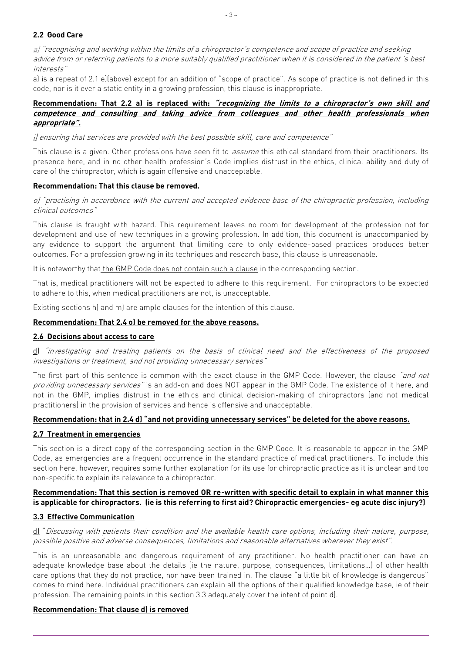# **2.2 Good Care**

 $a$ ) "recognising and working within the limits of a chiropractor's competence and scope of practice and seeking advice from or referring patients to a more suitably qualified practitioner when it is considered in the patient 's best interests"

a) is a repeat of 2.1 e)(above) except for an addition of "scope of practice". As scope of practice is not defined in this code, nor is it ever a static entity in a growing profession, this clause is inappropriate.

#### **Recommendation: That 2.2 a) is replaced with: "recognizing the limits to a chiropractor's own skill and competence and consulting and taking advice from colleagues and other health professionals when appropriate".**

### i) ensuring that services are provided with the best possible skill, care and competence"

This clause is a given. Other professions have seen fit to *assume* this ethical standard from their practitioners. Its presence here, and in no other health profession's Code implies distrust in the ethics, clinical ability and duty of care of the chiropractor, which is again offensive and unacceptable.

## **Recommendation: That this clause be removed.**

#### o) "practising in accordance with the current and accepted evidence base of the chiropractic profession, including clinical outcomes"

This clause is fraught with hazard. This requirement leaves no room for development of the profession not for development and use of new techniques in a growing profession. In addition, this document is unaccompanied by any evidence to support the argument that limiting care to only evidence-based practices produces better outcomes. For a profession growing in its techniques and research base, this clause is unreasonable.

It is noteworthy that the GMP Code does not contain such a clause in the corresponding section.

That is, medical practitioners will not be expected to adhere to this requirement. For chiropractors to be expected to adhere to this, when medical practitioners are not, is unacceptable.

Existing sections h) and m) are ample clauses for the intention of this clause.

## **Recommendation: That 2.4 o) be removed for the above reasons.**

# **2.6 Decisions about access to care**

d) "investigating and treating patients on the basis of clinical need and the effectiveness of the proposed investigations or treatment, and not providing unnecessary services"

The first part of this sentence is common with the exact clause in the GMP Code. However, the clause "and not providing unnecessary services" is an add-on and does NOT appear in the GMP Code. The existence of it here, and not in the GMP, implies distrust in the ethics and clinical decision-making of chiropractors (and not medical practitioners) in the provision of services and hence is offensive and unacceptable.

#### **Recommendation: that in 2.4 d) "and not providing unnecessary services" be deleted for the above reasons.**

# **2.7 Treatment in emergencies**

This section is a direct copy of the corresponding section in the GMP Code. It is reasonable to appear in the GMP Code, as emergencies are a frequent occurrence in the standard practice of medical practitioners. To include this section here, however, requires some further explanation for its use for chiropractic practice as it is unclear and too non-specific to explain its relevance to a chiropractor.

## **Recommendation: That this section is removed OR re-written with specific detail to explain in what manner this is applicable for chiropractors. (ie is this referring to first aid? Chiropractic emergencies- eg acute disc injury?)**

# **3.3 Effective Communication**

d) "Discussing with patients their condition and the available health care options, including their nature, purpose, possible positive and adverse consequences, limitations and reasonable alternatives wherever they exist".

This is an unreasonable and dangerous requirement of any practitioner. No health practitioner can have an adequate knowledge base about the details (ie the nature, purpose, consequences, limitations…) of other health care options that they do not practice, nor have been trained in. The clause "a little bit of knowledge is dangerous" comes to mind here. Individual practitioners can explain all the options of their qualified knowledge base, ie of their profession. The remaining points in this section 3.3 adequately cover the intent of point d).

#### **Recommendation: That clause d) is removed**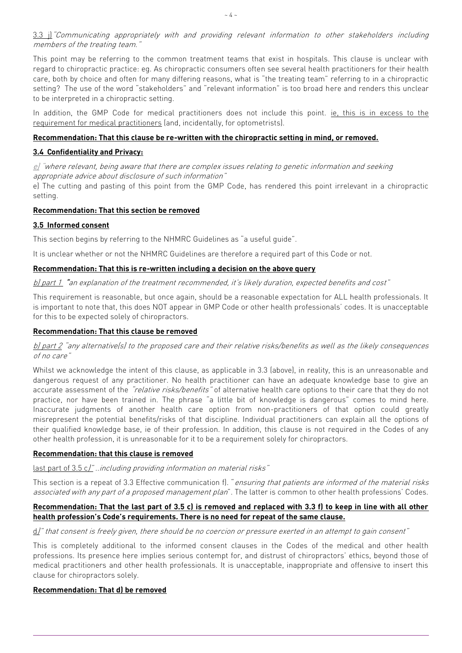This point may be referring to the common treatment teams that exist in hospitals. This clause is unclear with regard to chiropractic practice: eg. As chiropractic consumers often see several health practitioners for their health care, both by choice and often for many differing reasons, what is "the treating team" referring to in a chiropractic setting? The use of the word "stakeholders" and "relevant information" is too broad here and renders this unclear to be interpreted in a chiropractic setting.

In addition, the GMP Code for medical practitioners does not include this point. *ie, this is in excess to the* requirement for medical practitioners (and, incidentally, for optometrists).

## **Recommendation: That this clause be re-written with the chiropractic setting in mind, or removed.**

# **3.4 Confidentiality and Privacy:**

e) "where relevant, being aware that there are complex issues relating to genetic information and seeking appropriate advice about disclosure of such information"

e) The cutting and pasting of this point from the GMP Code, has rendered this point irrelevant in a chiropractic setting.

## **Recommendation: That this section be removed**

## **3.5 Informed consent**

This section begins by referring to the NHMRC Guidelines as "a useful guide".

It is unclear whether or not the NHMRC Guidelines are therefore a required part of this Code or not.

## **Recommendation: That this is re-written including a decision on the above query**

b) part 1 "an explanation of the treatment recommended, it's likely duration, expected benefits and cost"

This requirement is reasonable, but once again, should be a reasonable expectation for ALL health professionals. It is important to note that, this does NOT appear in GMP Code or other health professionals' codes. It is unacceptable for this to be expected solely of chiropractors.

## **Recommendation: That this clause be removed**

## b) part 2 "any alternative(s) to the proposed care and their relative risks/benefits as well as the likely consequences of no care"

Whilst we acknowledge the intent of this clause, as applicable in 3.3 (above), in reality, this is an unreasonable and dangerous request of any practitioner. No health practitioner can have an adequate knowledge base to give an accurate assessment of the "relative risks/benefits" of alternative health care options to their care that they do not practice, nor have been trained in. The phrase "a little bit of knowledge is dangerous" comes to mind here. Inaccurate judgments of another health care option from non-practitioners of that option could greatly misrepresent the potential benefits/risks of that discipline. Individual practitioners can explain all the options of their qualified knowledge base, ie of their profession. In addition, this clause is not required in the Codes of any other health profession, it is unreasonable for it to be a requirement solely for chiropractors.

#### **Recommendation: that this clause is removed**

last part of 3.5 c]" ..including providing information on material risks"

This section is a repeat of 3.3 Effective communication f). "ensuring that patients are informed of the material risks associated with any part of a proposed management plan". The latter is common to other health professions' Codes.

## **Recommendation: That the last part of 3.5 c) is removed and replaced with 3.3 f) to keep in line with all other health profession's Code's requirements. There is no need for repeat of the same clause.**

# d)" that consent is freely given, there should be no coercion or pressure exerted in an attempt to gain consent"

This is completely additional to the informed consent clauses in the Codes of the medical and other health professions. Its presence here implies serious contempt for, and distrust of chiropractors' ethics, beyond those of medical practitioners and other health professionals. It is unacceptable, inappropriate and offensive to insert this clause for chiropractors solely.

#### **Recommendation: That d) be removed**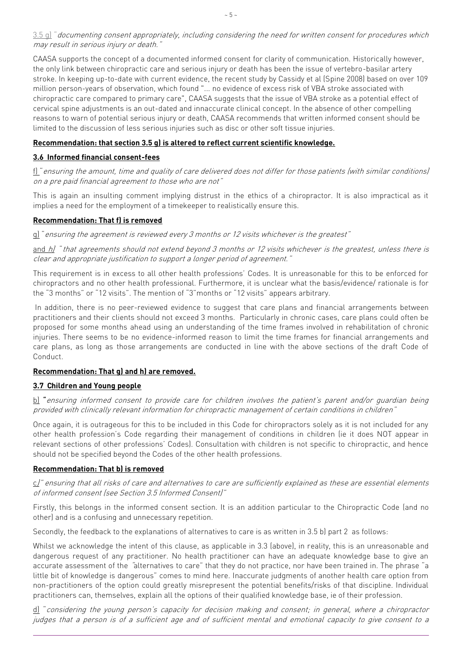## 3.5 g] "documenting consent appropriately, including considering the need for written consent for procedures which may result in serious injury or death."

CAASA supports the concept of a documented informed consent for clarity of communication. Historically however, the only link between chiropractic care and serious injury or death has been the issue of vertebro-basilar artery stroke. In keeping up-to-date with current evidence, the recent study by Cassidy et al (Spine 2008) based on over 109 million person-years of observation, which found "... no evidence of excess risk of VBA stroke associated with chiropractic care compared to primary care", CAASA suggests that the issue of VBA stroke as a potential effect of cervical spine adjustments is an out-dated and innaccurate clinical concept. In the absence of other compelling reasons to warn of potential serious injury or death, CAASA recommends that written informed consent should be limited to the discussion of less serious injuries such as disc or other soft tissue injuries.

#### **Recommendation: that section 3.5 g) is altered to reflect current scientific knowledge.**

### **3.6 Informed financial consent-fees**

f) "ensuring the amount, time and quality of care delivered does not differ for those patients (with similar conditions) on a pre paid financial agreement to those who are not"

This is again an insulting comment implying distrust in the ethics of a chiropractor. It is also impractical as it implies a need for the employment of a timekeeper to realistically ensure this.

#### **Recommendation: That f) is removed**

g) "ensuring the agreement is reviewed every 3 months or 12 visits whichever is the greatest"

and  $h$ <sup>'</sup> that agreements should not extend beyond 3 months or 12 visits whichever is the greatest, unless there is clear and appropriate justification to support a longer period of agreement."

This requirement is in excess to all other health professions' Codes. It is unreasonable for this to be enforced for chiropractors and no other health professional. Furthermore, it is unclear what the basis/evidence/ rationale is for the "3 months" or "12 visits". The mention of "3"months or "12 visits" appears arbitrary.

In addition, there is no peer-reviewed evidence to suggest that care plans and financial arrangements between practitioners and their clients should not exceed 3 months. Particularly in chronic cases, care plans could often be proposed for some months ahead using an understanding of the time frames involved in rehabilitation of chronic injuries. There seems to be no evidence-informed reason to limit the time frames for financial arrangements and care plans, as long as those arrangements are conducted in line with the above sections of the draft Code of Conduct.

#### **Recommendation: That g) and h) are removed.**

#### **3.7 Children and Young people**

b) "ensuring informed consent to provide care for children involves the patient's parent and/or guardian being provided with clinically relevant information for chiropractic management of certain conditions in children"

Once again, it is outrageous for this to be included in this Code for chiropractors solely as it is not included for any other health profession's Code regarding their management of conditions in children (ie it does NOT appear in relevant sections of other professions' Codes). Consultation with children is not specific to chiropractic, and hence should not be specified beyond the Codes of the other health professions.

#### **Recommendation: That b) is removed**

c)" ensuring that all risks of care and alternatives to care are sufficiently explained as these are essential elements of informed consent (see Section 3.5 Informed Consent)"

Firstly, this belongs in the informed consent section. It is an addition particular to the Chiropractic Code (and no other) and is a confusing and unnecessary repetition.

Secondly, the feedback to the explanations of alternatives to care is as written in 3.5 b) part 2 as follows:

Whilst we acknowledge the intent of this clause, as applicable in 3.3 (above), in reality, this is an unreasonable and dangerous request of any practitioner. No health practitioner can have an adequate knowledge base to give an accurate assessment of the "alternatives to care" that they do not practice, nor have been trained in. The phrase "a little bit of knowledge is dangerous" comes to mind here. Inaccurate judgments of another health care option from non-practitioners of the option could greatly misrepresent the potential benefits/risks of that discipline. Individual practitioners can, themselves, explain all the options of their qualified knowledge base, ie of their profession.

d) "considering the young person's capacity for decision making and consent; in general, where a chiropractor judges that a person is of a sufficient age and of sufficient mental and emotional capacity to give consent to a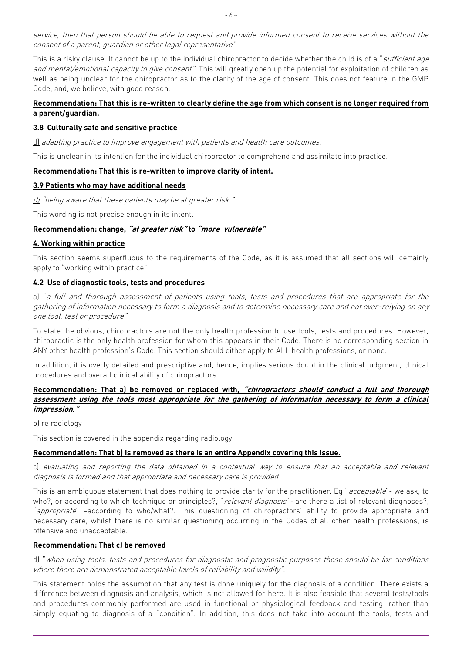service, then that person should be able to request and provide informed consent to receive services without the consent of a parent, guardian or other legal representative"

This is a risky clause. It cannot be up to the individual chiropractor to decide whether the child is of a "sufficient age and mental/emotional capacity to give consent". This will greatly open up the potential for exploitation of children as well as being unclear for the chiropractor as to the clarity of the age of consent. This does not feature in the GMP Code, and, we believe, with good reason.

## **Recommendation: That this is re-written to clearly define the age from which consent is no longer required from a parent/guardian.**

## **3.8 Culturally safe and sensitive practice**

d) adapting practice to improve engagement with patients and health care outcomes.

This is unclear in its intention for the individual chiropractor to comprehend and assimilate into practice.

#### **Recommendation: That this is re-written to improve clarity of intent.**

#### **3.9 Patients who may have additional needs**

d) "being aware that these patients may be at greater risk."

This wording is not precise enough in its intent.

#### **Recommendation: change, "at greater risk" to "more vulnerable"**

#### **4. Working within practice**

This section seems superfluous to the requirements of the Code, as it is assumed that all sections will certainly apply to "working within practice"

#### **4.2 Use of diagnostic tools, tests and procedures**

a) "a full and thorough assessment of patients using tools, tests and procedures that are appropriate for the gathering of information necessary to form a diagnosis and to determine necessary care and not over-relying on any one tool, test or procedure"

To state the obvious, chiropractors are not the only health profession to use tools, tests and procedures. However, chiropractic is the only health profession for whom this appears in their Code. There is no corresponding section in ANY other health profession's Code. This section should either apply to ALL health professions, or none.

In addition, it is overly detailed and prescriptive and, hence, implies serious doubt in the clinical judgment, clinical procedures and overall clinical ability of chiropractors.

#### **Recommendation: That a) be removed or replaced with, "chiropractors should conduct a full and thorough assessment using the tools most appropriate for the gathering of information necessary to form a clinical impression."**

b) re radiology

This section is covered in the appendix regarding radiology.

#### **Recommendation: That b) is removed as there is an entire Appendix covering this issue.**

c) evaluating and reporting the data obtained in a contextual way to ensure that an acceptable and relevant diagnosis is formed and that appropriate and necessary care is provided

This is an ambiguous statement that does nothing to provide clarity for the practitioner. Eq "acceptable"- we ask, to who?, or according to which technique or principles?, "relevant diagnosis"- are there a list of relevant diagnoses?, "appropriate" –according to who/what?. This questioning of chiropractors' ability to provide appropriate and necessary care, whilst there is no similar questioning occurring in the Codes of all other health professions, is offensive and unacceptable.

#### **Recommendation: That c) be removed**

#### d) "when using tools, tests and procedures for diagnostic and prognostic purposes these should be for conditions where there are demonstrated acceptable levels of reliability and validity".

This statement holds the assumption that any test is done uniquely for the diagnosis of a condition. There exists a difference between diagnosis and analysis, which is not allowed for here. It is also feasible that several tests/tools and procedures commonly performed are used in functional or physiological feedback and testing, rather than simply equating to diagnosis of a "condition". In addition, this does not take into account the tools, tests and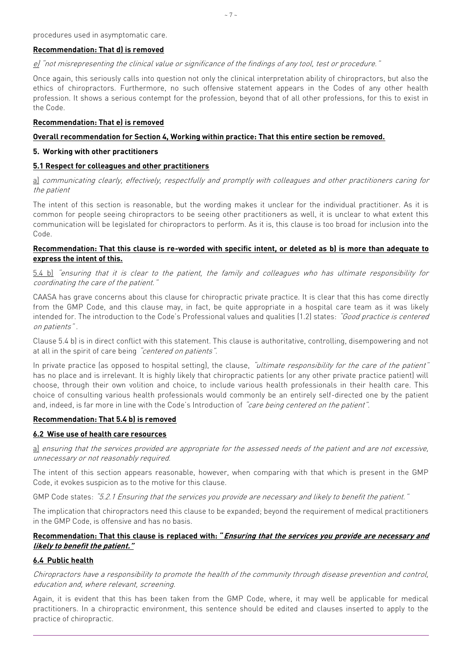# **Recommendation: That d) is removed**

e) "not misrepresenting the clinical value or significance of the findings of any tool, test or procedure."

Once again, this seriously calls into question not only the clinical interpretation ability of chiropractors, but also the ethics of chiropractors. Furthermore, no such offensive statement appears in the Codes of any other health profession. It shows a serious contempt for the profession, beyond that of all other professions, for this to exist in the Code.

### **Recommendation: That e) is removed**

## **Overall recommendation for Section 4, Working within practice: That this entire section be removed.**

### **5. Working with other practitioners**

## **5.1 Respect for colleagues and other practitioners**

a) communicating clearly, effectively, respectfully and promptly with colleagues and other practitioners caring for the patient

The intent of this section is reasonable, but the wording makes it unclear for the individual practitioner. As it is common for people seeing chiropractors to be seeing other practitioners as well, it is unclear to what extent this communication will be legislated for chiropractors to perform. As it is, this clause is too broad for inclusion into the Code.

### **Recommendation: That this clause is re-worded with specific intent, or deleted as b) is more than adequate to express the intent of this.**

5.4 b) "ensuring that it is clear to the patient, the family and colleagues who has ultimate responsibility for coordinating the care of the patient."

CAASA has grave concerns about this clause for chiropractic private practice. It is clear that this has come directly from the GMP Code, and this clause may, in fact, be quite appropriate in a hospital care team as it was likely intended for. The introduction to the Code's Professional values and qualities (1.2) states: "Good practice is centered on patients" .

Clause 5.4 b) is in direct conflict with this statement. This clause is authoritative, controlling, disempowering and not at all in the spirit of care being "centered on patients".

In private practice (as opposed to hospital setting), the clause, "ultimate responsibility for the care of the patient" has no place and is irrelevant. It is highly likely that chiropractic patients (or any other private practice patient) will choose, through their own volition and choice, to include various health professionals in their health care. This choice of consulting various health professionals would commonly be an entirely self-directed one by the patient and, indeed, is far more in line with the Code's Introduction of *care being centered on the patient*".

#### **Recommendation: That 5.4 b) is removed**

#### **6.2 Wise use of health care resources**

a) ensuring that the services provided are appropriate for the assessed needs of the patient and are not excessive, unnecessary or not reasonably required.

The intent of this section appears reasonable, however, when comparing with that which is present in the GMP Code, it evokes suspicion as to the motive for this clause.

GMP Code states: "5.2.1 Ensuring that the services you provide are necessary and likely to benefit the patient."

The implication that chiropractors need this clause to be expanded; beyond the requirement of medical practitioners in the GMP Code, is offensive and has no basis.

# **Recommendation: That this clause is replaced with: "Ensuring that the services you provide are necessary and likely to benefit the patient."**

# **6.4 Public health**

Chiropractors have a responsibility to promote the health of the community through disease prevention and control, education and, where relevant, screening.

Again, it is evident that this has been taken from the GMP Code, where, it may well be applicable for medical practitioners. In a chiropractic environment, this sentence should be edited and clauses inserted to apply to the practice of chiropractic.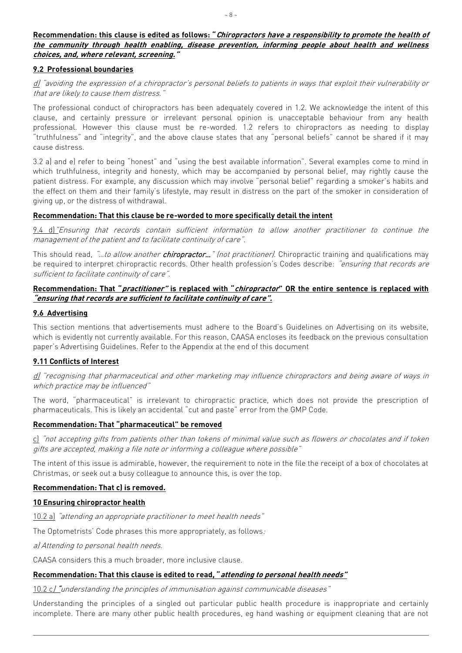### **Recommendation: this clause is edited as follows: "Chiropractors have a responsibility to promote the health of the community through health enabling, disease prevention, informing people about health and wellness choices, and, where relevant, screening."**

### **9.2 Professional boundaries**

## d) "avoiding the expression of a chiropractor's personal beliefs to patients in ways that exploit their vulnerability or that are likely to cause them distress.

The professional conduct of chiropractors has been adequately covered in 1.2. We acknowledge the intent of this clause, and certainly pressure or irrelevant personal opinion is unacceptable behaviour from any health professional. However this clause must be re-worded. 1.2 refers to chiropractors as needing to display "truthfulness" and "integrity", and the above clause states that any "personal beliefs" cannot be shared if it may cause distress.

3.2 a) and e) refer to being "honest" and "using the best available information". Several examples come to mind in which truthfulness, integrity and honesty, which may be accompanied by personal belief, may rightly cause the patient distress. For example, any discussion which may involve "personal belief" regarding a smoker's habits and the effect on them and their family's lifestyle, may result in distress on the part of the smoker in consideration of giving up, or the distress of withdrawal.

## **Recommendation: That this clause be re-worded to more specifically detail the intent**

9.4 d)"Ensuring that records contain sufficient information to allow another practitioner to continue the management of the patient and to facilitate continuity of care".

This should read, "...to allow another chiropractor..." (not practitioner). Chiropractic training and qualifications may be required to interpret chiropractic records. Other health profession's Codes describe: "ensuring that records are sufficient to facilitate continuity of care".

## **Recommendation: That "practitioner" is replaced with "chiropractor" OR the entire sentence is replaced with "ensuring that records are sufficient to facilitate continuity of care".**

#### **9.6 Advertising**

This section mentions that advertisements must adhere to the Board's Guidelines on Advertising on its website, which is evidently not currently available. For this reason, CAASA encloses its feedback on the previous consultation paper's Advertising Guidelines. Refer to the Appendix at the end of this document

#### **9.11 Conflicts of Interest**

d) "recognising that pharmaceutical and other marketing may influence chiropractors and being aware of ways in which practice may be influenced"

The word, "pharmaceutical" is irrelevant to chiropractic practice, which does not provide the prescription of pharmaceuticals. This is likely an accidental "cut and paste" error from the GMP Code.

#### **Recommendation: That "pharmaceutical" be removed**

c) "not accepting gifts from patients other than tokens of minimal value such as flowers or chocolates and if token gifts are accepted, making a file note or informing a colleague where possible"

The intent of this issue is admirable, however, the requirement to note in the file the receipt of a box of chocolates at Christmas, or seek out a busy colleague to announce this, is over the top.

#### **Recommendation: That c) is removed.**

#### **10 Ensuring chiropractor health**

10.2 a) "attending an appropriate practitioner to meet health needs"

The Optometrists' Code phrases this more appropriately, as follows:

a) Attending to personal health needs.

CAASA considers this a much broader, more inclusive clause.

### **Recommendation: That this clause is edited to read, "attending to personal health needs"**

10.2 c) "understanding the principles of immunisation against communicable diseases"

Understanding the principles of a singled out particular public health procedure is inappropriate and certainly incomplete. There are many other public health procedures, eg hand washing or equipment cleaning that are not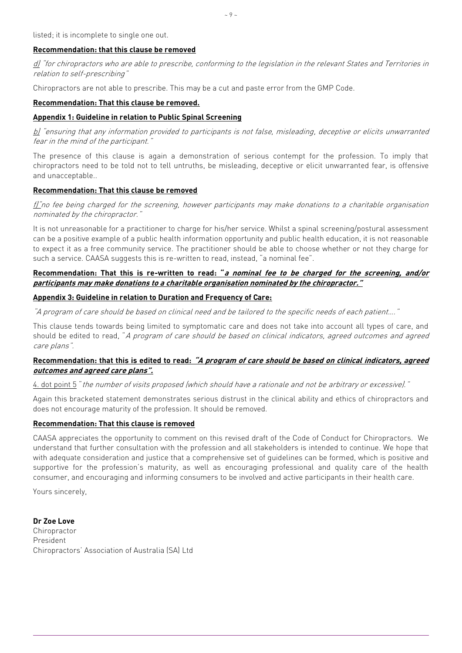## **Recommendation: that this clause be removed**

d) "for chiropractors who are able to prescribe, conforming to the legislation in the relevant States and Territories in relation to self-prescribing"

Chiropractors are not able to prescribe. This may be a cut and paste error from the GMP Code.

### **Recommendation: That this clause be removed.**

## **Appendix 1: Guideline in relation to Public Spinal Screening**

 $b$ ) "ensuring that any information provided to participants is not false, misleading, deceptive or elicits unwarranted fear in the mind of the participant."

The presence of this clause is again a demonstration of serious contempt for the profession. To imply that chiropractors need to be told not to tell untruths, be misleading, deceptive or elicit unwarranted fear, is offensive and unacceptable..

## **Recommendation: That this clause be removed**

 $f\ddot{f}$  no fee being charged for the screening, however participants may make donations to a charitable organisation nominated by the chiropractor."

It is not unreasonable for a practitioner to charge for his/her service. Whilst a spinal screening/postural assessment can be a positive example of a public health information opportunity and public health education, it is not reasonable to expect it as a free community service. The practitioner should be able to choose whether or not they charge for such a service. CAASA suggests this is re-written to read, instead, "a nominal fee".

### **Recommendation: That this is re-written to read: "a nominal fee to be charged for the screening, and/or participants may make donations to a charitable organisation nominated by the chiropractor."**

## **Appendix 3: Guideline in relation to Duration and Frequency of Care:**

"A program of care should be based on clinical need and be tailored to the specific needs of each patient…."

This clause tends towards being limited to symptomatic care and does not take into account all types of care, and should be edited to read, "A program of care should be based on clinical indicators, agreed outcomes and agreed care plans".

## **Recommendation: that this is edited to read: "A program of care should be based on clinical indicators, agreed outcomes and agreed care plans".**

4. dot point 5 "the number of visits proposed (which should have a rationale and not be arbitrary or excessive)."

Again this bracketed statement demonstrates serious distrust in the clinical ability and ethics of chiropractors and does not encourage maturity of the profession. It should be removed.

#### **Recommendation: That this clause is removed**

CAASA appreciates the opportunity to comment on this revised draft of the Code of Conduct for Chiropractors. We understand that further consultation with the profession and all stakeholders is intended to continue. We hope that with adequate consideration and justice that a comprehensive set of guidelines can be formed, which is positive and supportive for the profession's maturity, as well as encouraging professional and quality care of the health consumer, and encouraging and informing consumers to be involved and active participants in their health care.

Yours sincerely,

**Dr Zoe Love Chiropractor** President Chiropractors' Association of Australia (SA) Ltd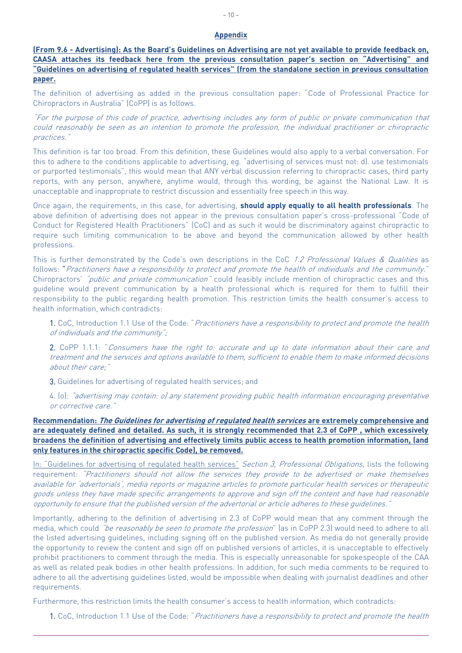#### **Appendix**

**(From 9.6 - Advertising): As the Board's Guidelines on Advertising are not yet available to provide feedback on, CAASA attaches its feedback here from the previous consultation paper's section on "Advertising" and "Guidelines on advertising of regulated health services" (from the standalone section in previous consultation paper.**

The definition of advertising as added in the previous consultation paper: "Code of Professional Practice for Chiropractors in Australia" (CoPP) is as follows.

"For the purpose of this code of practice, advertising includes any form of public or private communication that could reasonably be seen as an intention to promote the profession, the individual practitioner or chiropractic practices."

This definition is far too broad. From this definition, these Guidelines would also apply to a verbal conversation. For this to adhere to the conditions applicable to advertising, eg. "advertising of services must not: d). use testimonials or purported testimonials", this would mean that ANY verbal discussion referring to chiropractic cases, third party reports, with any person, anywhere, anytime would, through this wording, be against the National Law. It is unacceptable and inappropriate to restrict discussion and essentially free speech in this way.

Once again, the requirements, in this case, for advertising, **should apply equally to all health professionals**. The above definition of advertising does not appear in the previous consultation paper's cross-professional "Code of Conduct for Registered Health Practitioners" (CoC) and as such it would be discriminatory against chiropractic to require such limiting communication to be above and beyond the communication allowed by other health professions.

This is further demonstrated by the Code's own descriptions in the CoC 1.2 Professional Values & Qualities as follows: "Practitioners have a responsibility to protect and promote the health of individuals and the community." Chiropractors' "public and private communication" could feasibly include mention of chiropractic cases and this guideline would prevent communication by a health professional which is required for them to fulfill their responsibility to the public regarding health promotion. This restriction limits the health consumer's access to health information, which contradicts:

1. CoC, Introduction 1.1 Use of the Code: "Practitioners have a responsibility to protect and promote the health of individuals and the community";

2. CoPP 1.1.1: "Consumers have the right to: accurate and up to date information about their care and treatment and the services and options available to them, sufficient to enable them to make informed decisions about their care;"

3. Guidelines for advertising of regulated health services; and

4. (o): "advertising may contain: o) any statement providing public health information encouraging preventative <sup>o</sup>r corrective care."

**Recommendation: The Guidelines for advertising of regulated health services are extremely comprehensive and are adequately defined and detailed. As such, it is strongly recommended that 2.3 of CoPP , which excessively broadens the definition of advertising and effectively limits public access to health promotion information, (and only features in the chiropractic specific Code), be removed.**

In: "Guidelines for advertising of regulated health services" Section 3, Professional Obligations, lists the following requirement: "Practitioners should not allow the services they provide to be advertised or make themselves available for 'advertorials', media reports or magazine articles to promote particular health services or therapeutic goods unless they have made specific arrangements to approve and sign off the content and have had reasonable opportunity to ensure that the published version of the advertorial or article adheres to these guidelines."

Importantly, adhering to the definition of advertising in 2.3 of CoPP would mean that any comment through the media, which could "be reasonably be seen to promote the profession" (as in CoPP 2.3) would need to adhere to all the listed advertising guidelines, including signing off on the published version. As media do not generally provide the opportunity to review the content and sign off on published versions of articles, it is unacceptable to effectively prohibit practitioners to comment through the media. This is especially unreasonable for spokespeople of the CAA as well as related peak bodies in other health professions. In addition, for such media comments to be required to adhere to all the advertising guidelines listed, would be impossible when dealing with journalist deadlines and other requirements.

Furthermore, this restriction limits the health consumer's access to health information, which contradicts:

1. CoC, Introduction 1.1 Use of the Code: "Practitioners have a responsibility to protect and promote the health